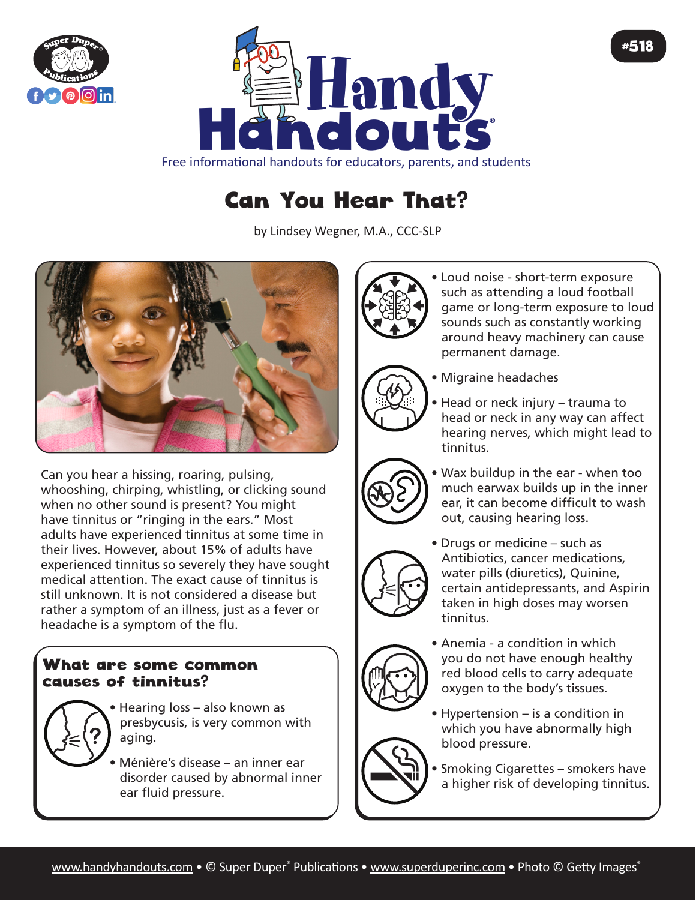



Free informational handouts for educators, parents, and students

## Can You Hear That?

by Lindsey Wegner, M.A., CCC-SLP



Can you hear a hissing, roaring, pulsing, whooshing, chirping, whistling, or clicking sound when no other sound is present? You might have tinnitus or "ringing in the ears." Most adults have experienced tinnitus at some time in their lives. However, about 15% of adults have experienced tinnitus so severely they have sought medical attention. The exact cause of tinnitus is still unknown. It is not considered a disease but rather a symptom of an illness, just as a fever or headache is a symptom of the flu.

## What are some common causes of tinnitus?

• Hearing loss – also known as presbycusis, is very common with aging.

• Ménière's disease – an inner ear disorder caused by abnormal inner ear fluid pressure.



• Loud noise - short-term exposure such as attending a loud football game or long-term exposure to loud sounds such as constantly working around heavy machinery can cause permanent damage.

#518



- Migraine headaches
- Head or neck injury trauma to head or neck in any way can affect hearing nerves, which might lead to tinnitus.
- Wax buildup in the ear when too much earwax builds up in the inner ear, it can become difficult to wash out, causing hearing loss.



• Drugs or medicine – such as Antibiotics, cancer medications, water pills (diuretics), Quinine, certain antidepressants, and Aspirin taken in high doses may worsen tinnitus.



- Anemia a condition in which you do not have enough healthy red blood cells to carry adequate oxygen to the body's tissues.
- Hypertension is a condition in which you have abnormally high blood pressure.
	- Smoking Cigarettes smokers have a higher risk of developing tinnitus.